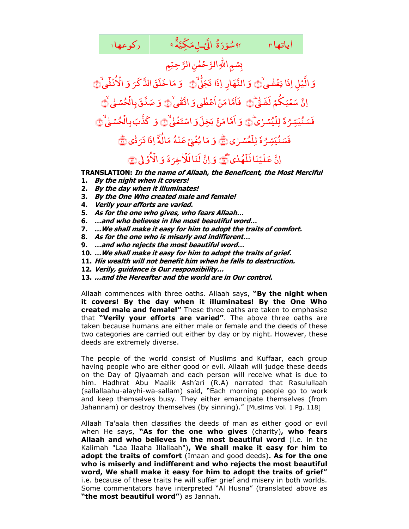<sub>۴</sub> سُوۡرَۃُ الۡیَّـٰۤلِمَکِیَّۃَ ٩ رکوعها ا <u>ر</u> شُوَرَةُ الَّيْ<mark>ـ</mark> ٌ اياتها <sub>۱</sub>۱ m <sub>۹۴</sub> شؤرَةُ الَّۍلِمَكِيَّةَ ۹ ا<br>ا

بِسُمِ اللهِ الرَّحۡمٰنِ الرَّحِيۡمِ

وَ الَّیۡلِ اِذَا یَغۡشٰی غ َ اِذَا يَغۡشٰىٰ۞ وَ النَّهَارِ اِذَا تَجَلَّىٰ۞ ٰ َ ۇ َ ۇ ا خَلَقَ الذَّكَرَ<br>- $\overline{\phantom{a}}$ مَا خَلَقَ الذَّكَرَ وَ الْأُنُثَىٰ , ن ُ ْ الْأَنْشَىٰ ١ اِنَّ سَعۡیَکُمۡم ی ْ ع َ سَعۡیَکُمۡ لَشَقِّیْ۞ ٰ َ نۡ أَعۡطٰی وَ ٔ م فَأَمَّا مَنْ أَعْطٰى وَ اتَّقٰىٰ ۞ ٰ َ وَ صَدَّقَ بِالۡحُسۡمٰىٰ ْ <sub>َ</sub>مَدَّقَ بِالۡحُسۡمٰٰى ۖ ﴾ ٗہ ر<br>ٍ <sup>م</sup>ُ يَبَسِّرُ فَسَنُّيَسِّرُهٗ لِلَّيُسْرٰىُ ْ لِلۡيُسۡـٰرٰىۖ ۞ وَ وَ أَمَّا مَنْ م<br>ا ا م َّ َم بَخِلَ**وَ** اسْتَغَ<sub>وٰ</sub> اسْتَغُن<mark>ْ</mark> ﴾ َ وَ كَذَّبَ بِالۡحُسۡمٰٰ ْ ؗػؘۮ۠ٮ*ؘ*۪ بِالۡحُسۡـٰیَٰ ۞ ٗہ ر<br>ٍ <sup>م</sup>ُبيَسِّرُ فَسَنُّيَسِّرُهٗ لِ<mark>لَعُسْرٰى</mark> ْ لِلۡعُسۡـٰرٰى ۞ وَ وَ مَا يُ<mark>ُن</mark>ْيِّ عَنْهُ غ ُ ای َ م ور<br>الہ َ مَالَهٗ اِذَا تَرَدُّی ٰ اِذَا تَرَدُّى <mark>پَ</mark> ِانَّ عَلَيۡنَال<mark>َلَٰه</mark>ُدٰى ْ عَلَيۡنَا<mark>لَلۡهُ</mark>دٰی ۗ وَ اِنَّ لَّنَا لَلَّأَخِرَةَ ِ خ ٰ ْ لُنَا لَلْأ َ وَ الْأَوَّلٰى ْ الأوِّلى ١٣

ر<br>ا **TRANSLATION: In the name of Allaah, the Beneficent, the Most Merciful** 

- **1. By the night when it covers!**
- **2. By the day when it illuminates!**
- **3. By the One Who created male and female!**
- **4. Verily your efforts are varied.**
- **5. As for the one who gives, who fears Allaah…**
- **6. …and who believes in the most beautiful word…**
- **7. …We shall make it easy for him to adopt the traits of comfort.**
- **8. As for the one who is miserly and indifferent…**
- **9. …and who rejects the most beautiful word…**
- **10. …We shall make it easy for him to adopt the traits of grief.**
- **11. His wealth will not benefit him when he falls to destruction.**
- **12. Verily, guidance is Our responsibility…**
- **13. …and the Hereafter and the world are in Our control.**

Allaah commences with three oaths. Allaah says, **"By the night when it covers! By the day when it illuminates! By the One Who created male and female!"** These three oaths are taken to emphasise that **"Verily your efforts are varied"**. The above three oaths are taken because humans are either male or female and the deeds of these two categories are carried out either by day or by night. However, these deeds are extremely diverse.

The people of the world consist of Muslims and Kuffaar, each group having people who are either good or evil. Allaah will judge these deeds on the Day of Qiyaamah and each person will receive what is due to him. Hadhrat Abu Maalik Ash'ari (R.A) narrated that Rasulullaah (sallallaahu-alayhi-wa-sallam) said, "Each morning people go to work and keep themselves busy. They either emancipate themselves (from Jahannam) or destroy themselves (by sinning)." [Muslims Vol. 1 Pg. 118]

Allaah Ta'aala then classifies the deeds of man as either good or evil when He says, **"As for the one who gives** (charity)**, who fears Allaah and who believes in the most beautiful word** (i.e. in the Kalimah "Laa Ilaaha Illallaah")**, We shall make it easy for him to adopt the traits of comfort** (Imaan and good deeds)**. As for the one who is miserly and indifferent and who rejects the most beautiful word, We shall make it easy for him to adopt the traits of grief"**  i.e. because of these traits he will suffer grief and misery in both worlds. Some commentators have interpreted "Al Husna" (translated above as **"the most beautiful word"**) as Jannah.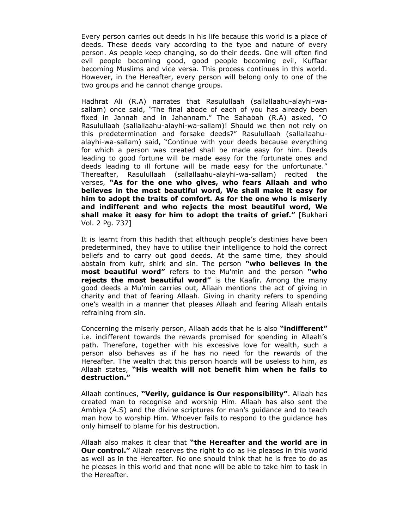Every person carries out deeds in his life because this world is a place of deeds. These deeds vary according to the type and nature of every person. As people keep changing, so do their deeds. One will often find evil people becoming good, good people becoming evil, Kuffaar becoming Muslims and vice versa. This process continues in this world. However, in the Hereafter, every person will belong only to one of the two groups and he cannot change groups.

Hadhrat Ali (R.A) narrates that Rasulullaah (sallallaahu-alayhi-wasallam) once said, "The final abode of each of you has already been fixed in Jannah and in Jahannam." The Sahabah (R.A) asked, "O Rasulullaah (sallallaahu-alayhi-wa-sallam)! Should we then not rely on this predetermination and forsake deeds?" Rasulullaah (sallallaahualayhi-wa-sallam) said, "Continue with your deeds because everything for which a person was created shall be made easy for him. Deeds leading to good fortune will be made easy for the fortunate ones and deeds leading to ill fortune will be made easy for the unfortunate." Thereafter, Rasulullaah (sallallaahu-alayhi-wa-sallam) recited the verses, **"As for the one who gives, who fears Allaah and who believes in the most beautiful word, We shall make it easy for him to adopt the traits of comfort. As for the one who is miserly and indifferent and who rejects the most beautiful word, We shall make it easy for him to adopt the traits of grief."** [Bukhari Vol. 2 Pg. 737]

It is learnt from this hadith that although people's destinies have been predetermined, they have to utilise their intelligence to hold the correct beliefs and to carry out good deeds. At the same time, they should abstain from kufr, shirk and sin. The person **"who believes in the most beautiful word"** refers to the Mu'min and the person **"who rejects the most beautiful word"** is the Kaafir. Among the many good deeds a Mu'min carries out, Allaah mentions the act of giving in charity and that of fearing Allaah. Giving in charity refers to spending one's wealth in a manner that pleases Allaah and fearing Allaah entails refraining from sin.

Concerning the miserly person, Allaah adds that he is also **"indifferent"**  i.e. indifferent towards the rewards promised for spending in Allaah's path. Therefore, together with his excessive love for wealth, such a person also behaves as if he has no need for the rewards of the Hereafter. The wealth that this person hoards will be useless to him, as Allaah states, **"His wealth will not benefit him when he falls to destruction."**

Allaah continues, **"Verily, guidance is Our responsibility"**. Allaah has created man to recognise and worship Him. Allaah has also sent the Ambiya (A.S) and the divine scriptures for man's guidance and to teach man how to worship Him. Whoever fails to respond to the guidance has only himself to blame for his destruction.

Allaah also makes it clear that **"the Hereafter and the world are in Our control."** Allaah reserves the right to do as He pleases in this world as well as in the Hereafter. No one should think that he is free to do as he pleases in this world and that none will be able to take him to task in the Hereafter.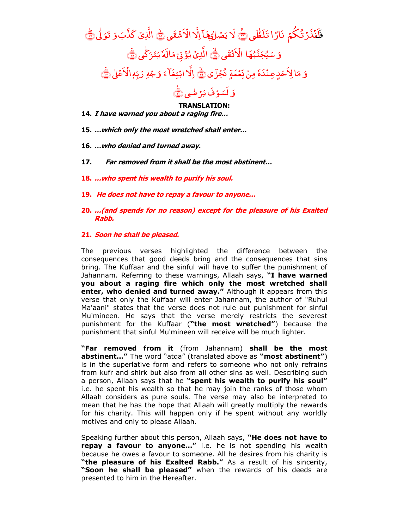## فَلَنۡذَرۡتُكُمۡم , لَنۡذَرۡ تُكُمۡ نَارًا تَلَظّٰى کَیۡ لَا یَصۡلٰی ٰ لا يَصُل<u>هِ</u> .<br>ب ِهَا اِلَا الْأَشْقَى ْ َش ْ اِلًا الْأَشْقَى ۞ الَّذِىۡ كَذَّبَوَ الَّذِ*یۡ* کَذَّبَ وَ تَوَلَّٰٰٓ ﷺ ٰ َ وَ سَيُجَنَّبُهَا سَيُجَنَّبُهَا الۡاَتۡقَى ؚ الْاَتُقَى <mark>﴾</mark> الذِيۡ يُؤۡنِ مَالُهٗ يَتَرَكَّى ٰ ز َ َ الَهٗ <sub>يَ</sub> الَّذِیۡ یُؤۡقِ ۡمَالَٰہٗ یَتَرَکَّٰٓی ۞ َ وَ مَالِاَحَدٍ عِنْدَهٗ مِنۡ نِّعۡمَةٍ تُجۡزَى <mark>﴾</mark> اِلَّ<mark>ا ابْتِغَا</mark>ۤءَ وَجۡهِ َ وَجۡهِ رَبِّهٖالۡاَعۡلٰ ؚ بِّهٖالاً َ رَ بِّهِ الْأَعْلَىٰ ﷺ

## َ وَ لَسَوْفَ پَرُ ضٰمِي ۇفَ يَ<sup>ّ</sup> لَسَوۡفَ يَرۡضٰٖى ۞

## **TRANSLATION:**

- **14. I have warned you about a raging fire…**
- **15. …which only the most wretched shall enter…**
- **16. …who denied and turned away.**
- **17. Far removed from it shall be the most abstinent…**
- **18. …who spent his wealth to purify his soul.**
- **19. He does not have to repay a favour to anyone…**
- **20. …(and spends for no reason) except for the pleasure of his Exalted Rabb.**

## **21. Soon he shall be pleased.**

The previous verses highlighted the difference between the consequences that good deeds bring and the consequences that sins bring. The Kuffaar and the sinful will have to suffer the punishment of Jahannam. Referring to these warnings, Allaah says, **"I have warned you about a raging fire which only the most wretched shall enter, who denied and turned away."** Although it appears from this verse that only the Kuffaar will enter Jahannam, the author of "Ruhul Ma'aani" states that the verse does not rule out punishment for sinful Mu'mineen. He says that the verse merely restricts the severest punishment for the Kuffaar (**"the most wretched"**) because the punishment that sinful Mu'mineen will receive will be much lighter.

**"Far removed from it** (from Jahannam) **shall be the most abstinent…"** The word "atqa" (translated above as **"most abstinent"**) is in the superlative form and refers to someone who not only refrains from kufr and shirk but also from all other sins as well. Describing such a person, Allaah says that he **"spent his wealth to purify his soul"**  i.e. he spent his wealth so that he may join the ranks of those whom Allaah considers as pure souls. The verse may also be interpreted to mean that he has the hope that Allaah will greatly multiply the rewards for his charity. This will happen only if he spent without any worldly motives and only to please Allaah.

Speaking further about this person, Allaah says, **"He does not have to repay a favour to anyone…"** i.e. he is not spending his wealth because he owes a favour to someone. All he desires from his charity is **"the pleasure of his Exalted Rabb."** As a result of his sincerity, **"Soon he shall be pleased"** when the rewards of his deeds are presented to him in the Hereafter.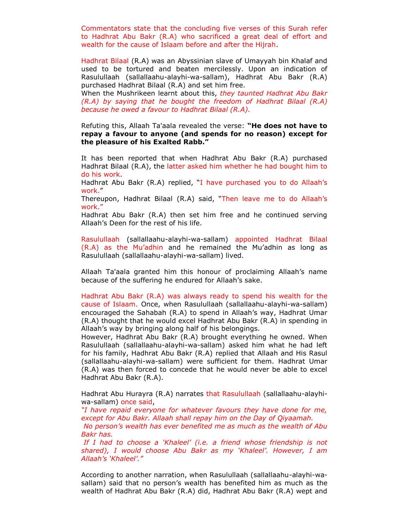Commentators state that the concluding five verses of this Surah refer to Hadhrat Abu Bakr (R.A) who sacrificed a great deal of effort and wealth for the cause of Islaam before and after the Hijrah.

Hadhrat Bilaal (R.A) was an Abyssinian slave of Umayyah bin Khalaf and used to be tortured and beaten mercilessly. Upon an indication of Rasulullaah (sallallaahu-alayhi-wa-sallam), Hadhrat Abu Bakr (R.A) purchased Hadhrat Bilaal (R.A) and set him free.

When the Mushrikeen learnt about this, *they taunted Hadhrat Abu Bakr (R.A) by saying that he bought the freedom of Hadhrat Bilaal (R.A) because he owed a favour to Hadhrat Bilaal (R.A).*

Refuting this, Allaah Ta'aala revealed the verse: **"He does not have to repay a favour to anyone (and spends for no reason) except for the pleasure of his Exalted Rabb."** 

It has been reported that when Hadhrat Abu Bakr (R.A) purchased Hadhrat Bilaal (R.A), the latter asked him whether he had bought him to do his work.

Hadhrat Abu Bakr (R.A) replied, "I have purchased you to do Allaah's work."

Thereupon, Hadhrat Bilaal (R.A) said, "Then leave me to do Allaah's work."

Hadhrat Abu Bakr (R.A) then set him free and he continued serving Allaah's Deen for the rest of his life.

Rasulullaah (sallallaahu-alayhi-wa-sallam) appointed Hadhrat Bilaal (R.A) as the Mu'adhin and he remained the Mu'adhin as long as Rasulullaah (sallallaahu-alayhi-wa-sallam) lived.

Allaah Ta'aala granted him this honour of proclaiming Allaah's name because of the suffering he endured for Allaah's sake.

Hadhrat Abu Bakr (R.A) was always ready to spend his wealth for the cause of Islaam. Once, when Rasulullaah (sallallaahu-alayhi-wa-sallam) encouraged the Sahabah (R.A) to spend in Allaah's way, Hadhrat Umar (R.A) thought that he would excel Hadhrat Abu Bakr (R.A) in spending in Allaah's way by bringing along half of his belongings.

However, Hadhrat Abu Bakr (R.A) brought everything he owned. When Rasulullaah (sallallaahu-alayhi-wa-sallam) asked him what he had left for his family, Hadhrat Abu Bakr (R.A) replied that Allaah and His Rasul (sallallaahu-alayhi-wa-sallam) were sufficient for them. Hadhrat Umar (R.A) was then forced to concede that he would never be able to excel Hadhrat Abu Bakr (R.A).

Hadhrat Abu Hurayra (R.A) narrates that Rasulullaah (sallallaahu-alayhiwa-sallam) once said,

*"I have repaid everyone for whatever favours they have done for me, except for Abu Bakr. Allaah shall repay him on the Day of Qiyaamah. No person"s wealth has ever benefited me as much as the wealth of Abu Bakr has.*

*If I had to choose a "Khaleel" (i.e. a friend whose friendship is not shared), I would choose Abu Bakr as my "Khaleel". However, I am Allaah"s "Khaleel"."*

According to another narration, when Rasulullaah (sallallaahu-alayhi-wasallam) said that no person's wealth has benefited him as much as the wealth of Hadhrat Abu Bakr (R.A) did, Hadhrat Abu Bakr (R.A) wept and